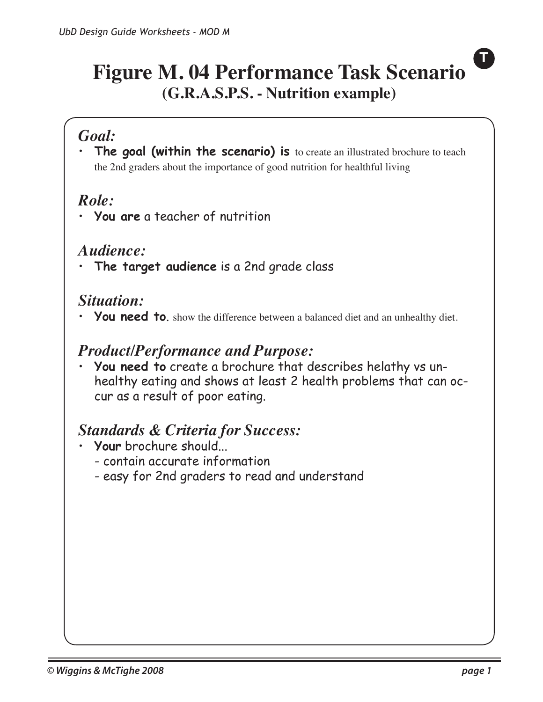## **Figure M. 04 Performance Task Scenario (G.R.A.S.P.S. - Nutrition example)**

### *Goal:*

• **The goal (within the scenario) is** to create an illustrated brochure to teach the 2nd graders about the importance of good nutrition for healthful living

## *Role:*

• **You are** a teacher of nutrition

#### *Audience:*

• **The target audience** is a 2nd grade class

### *Situation:*

You need to. show the difference between a balanced diet and an unhealthy diet.

#### *Product/Performance and Purpose:*

• **You need to** create a brochure that describes helathy vs unhealthy eating and shows at least 2 health problems that can occur as a result of poor eating.

#### *Standards & Criteria for Success:*

- **Your** brochure should...
	- contain accurate information
	- easy for 2nd graders to read and understand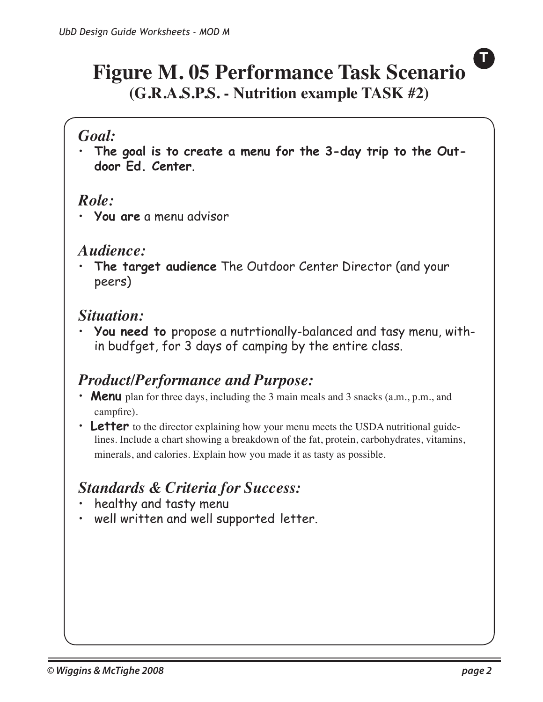## **Figure M. 05 Performance Task Scenario (G.R.A.S.P.S. - Nutrition example TASK #2)**

#### *Goal:*

•  **The goal is to create a menu for the 3-day trip to the Outdoor Ed. Center**.

#### *Role:*

• **You are** a menu advisor

#### *Audience:*

• **The target audience** The Outdoor Center Director (and your peers)

#### *Situation:*

•  **You need to** propose a nutrtionally-balanced and tasy menu, within budfget, for 3 days of camping by the entire class.

## *Product/Performance and Purpose:*

- **Menu** plan for three days, including the 3 main meals and 3 snacks (a.m., p.m., and campfire).
- **Letter** to the director explaining how your menu meets the USDA nutritional guidelines. Include a chart showing a breakdown of the fat, protein, carbohydrates, vitamins, minerals, and calories. Explain how you made it as tasty as possible.

## *Standards & Criteria for Success:*

- healthy and tasty menu
- well written and well supported letter.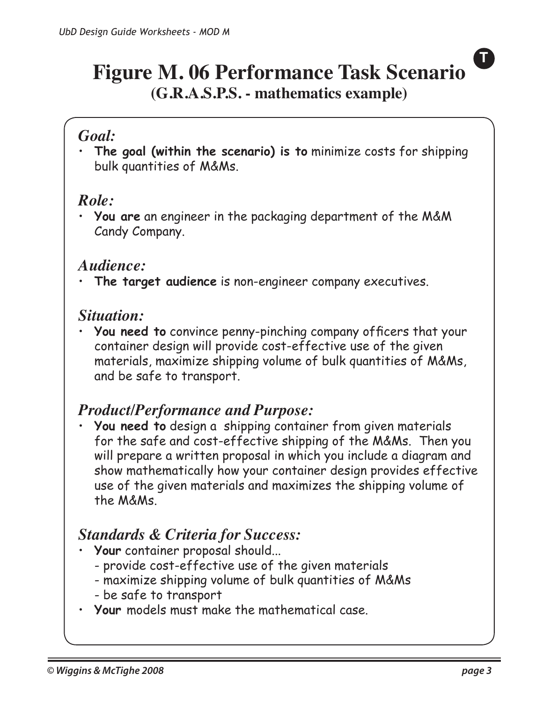## **Figure M. 06 Performance Task Scenario (G.R.A.S.P.S. - mathematics example)**

### *Goal:*

•  **The goal (within the scenario) is to** minimize costs for shipping bulk quantities of M&Ms.

### *Role:*

• **You are** an engineer in the packaging department of the M&M Candy Company.

#### *Audience:*

• **The target audience** is non-engineer company executives.

#### *Situation:*

•  **You need to** convince penny-pinching company officers that your container design will provide cost-effective use of the given materials, maximize shipping volume of bulk quantities of M&Ms, and be safe to transport.

#### *Product/Performance and Purpose:*

• **You need to** design a shipping container from given materials for the safe and cost-effective shipping of the M&Ms. Then you will prepare a written proposal in which you include a diagram and show mathematically how your container design provides effective use of the given materials and maximizes the shipping volume of the M&Ms.

## *Standards & Criteria for Success:*

- **Your** container proposal should...
	- provide cost-effective use of the given materials
	- maximize shipping volume of bulk quantities of M&Ms
	- be safe to transport
- **Your** models must make the mathematical case.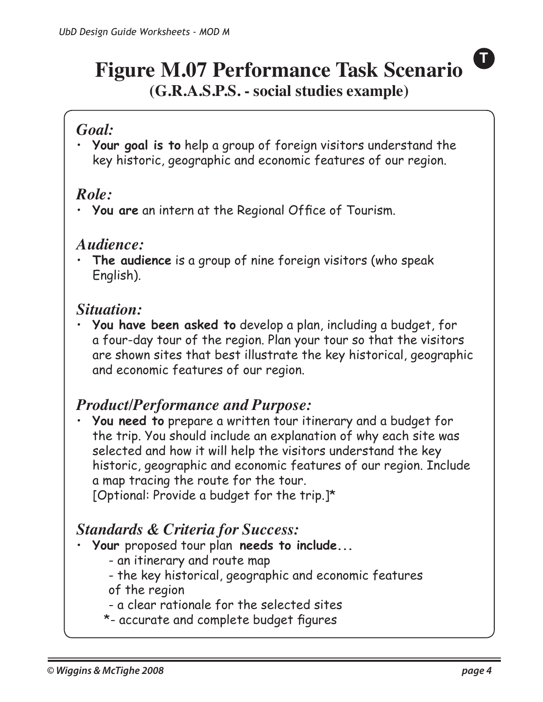## **Figure M.07 Performance Task Scenario (G.R.A.S.P.S. - social studies example)**

### *Goal:*

•  **Your goal is to** help a group of foreign visitors understand the key historic, geographic and economic features of our region.

### *Role:*

• **You are** an intern at the Regional Office of Tourism.

#### *Audience:*

• **The audience** is a group of nine foreign visitors (who speak English).

### *Situation:*

•  **You have been asked to** develop a plan, including a budget, for a four-day tour of the region. Plan your tour so that the visitors are shown sites that best illustrate the key historical, geographic and economic features of our region.

## *Product/Performance and Purpose:*

• **You need to** prepare a written tour itinerary and a budget for the trip. You should include an explanation of why each site was selected and how it will help the visitors understand the key historic, geographic and economic features of our region. Include a map tracing the route for the tour.

[Optional: Provide a budget for the trip.]\*

### *Standards & Criteria for Success:*

- **Your** proposed tour plan **needs to include...**
	- an itinerary and route map
	- the key historical, geographic and economic features of the region
	- a clear rationale for the selected sites
	- \*- accurate and complete budget figures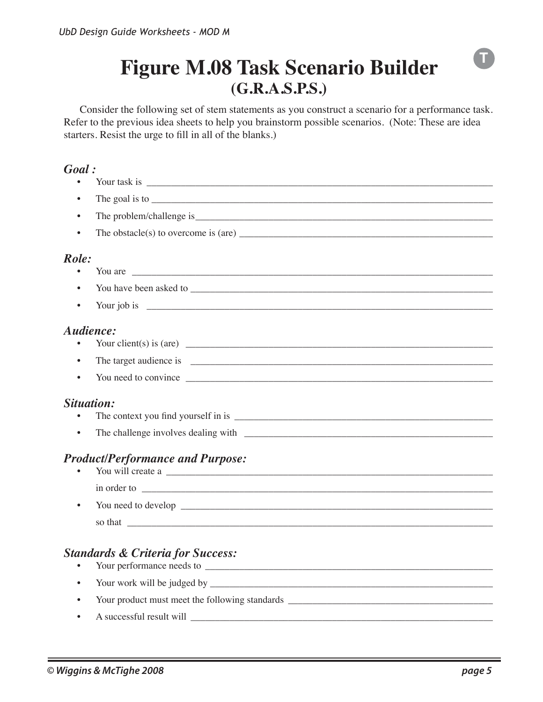## **Figure M.08 Task Scenario Builder (G.R.A.S.P.S.)**

Consider the following set of stem statements as you construct a scenario for a performance task. Refer to the previous idea sheets to help you brainstorm possible scenarios. (Note: These are idea starters. Resist the urge to fill in all of the blanks.)

#### *Goal :*

| Goal :     |                                                                                                                                                                                                                                                                                                                                                                                                         |
|------------|---------------------------------------------------------------------------------------------------------------------------------------------------------------------------------------------------------------------------------------------------------------------------------------------------------------------------------------------------------------------------------------------------------|
|            | Your task is $\frac{1}{\sqrt{1-\frac{1}{2}}\sqrt{1-\frac{1}{2}}\sqrt{1-\frac{1}{2}}\sqrt{1-\frac{1}{2}}\sqrt{1-\frac{1}{2}}\sqrt{1-\frac{1}{2}}\sqrt{1-\frac{1}{2}}\sqrt{1-\frac{1}{2}}\sqrt{1-\frac{1}{2}}\sqrt{1-\frac{1}{2}}\sqrt{1-\frac{1}{2}}\sqrt{1-\frac{1}{2}}\sqrt{1-\frac{1}{2}}\sqrt{1-\frac{1}{2}}\sqrt{1-\frac{1}{2}}\sqrt{1-\frac{1}{2}}\sqrt{1-\frac{1}{2}}\sqrt{1-\frac{1}{2}}\sqrt{1$ |
|            |                                                                                                                                                                                                                                                                                                                                                                                                         |
|            |                                                                                                                                                                                                                                                                                                                                                                                                         |
|            | The obstacle(s) to overcome is (are)                                                                                                                                                                                                                                                                                                                                                                    |
| Role:      |                                                                                                                                                                                                                                                                                                                                                                                                         |
|            | You are                                                                                                                                                                                                                                                                                                                                                                                                 |
|            |                                                                                                                                                                                                                                                                                                                                                                                                         |
|            |                                                                                                                                                                                                                                                                                                                                                                                                         |
| Audience:  |                                                                                                                                                                                                                                                                                                                                                                                                         |
|            | Your client(s) is (are) $\overline{\qquad \qquad }$                                                                                                                                                                                                                                                                                                                                                     |
|            |                                                                                                                                                                                                                                                                                                                                                                                                         |
|            |                                                                                                                                                                                                                                                                                                                                                                                                         |
| Situation: |                                                                                                                                                                                                                                                                                                                                                                                                         |
| $\bullet$  |                                                                                                                                                                                                                                                                                                                                                                                                         |
|            | <b>Product/Performance and Purpose:</b><br>You will create a                                                                                                                                                                                                                                                                                                                                            |
|            |                                                                                                                                                                                                                                                                                                                                                                                                         |
| $\bullet$  |                                                                                                                                                                                                                                                                                                                                                                                                         |
|            | so that contact the contact of the contact of the contact of the contact of the contact of the contact of the contact of the contact of the contact of the contact of the contact of the contact of the contact of the contact                                                                                                                                                                          |
|            | <b>Standards &amp; Criteria for Success:</b>                                                                                                                                                                                                                                                                                                                                                            |
|            |                                                                                                                                                                                                                                                                                                                                                                                                         |
|            | Your product must meet the following standards __________________________________                                                                                                                                                                                                                                                                                                                       |
|            | A successful result will                                                                                                                                                                                                                                                                                                                                                                                |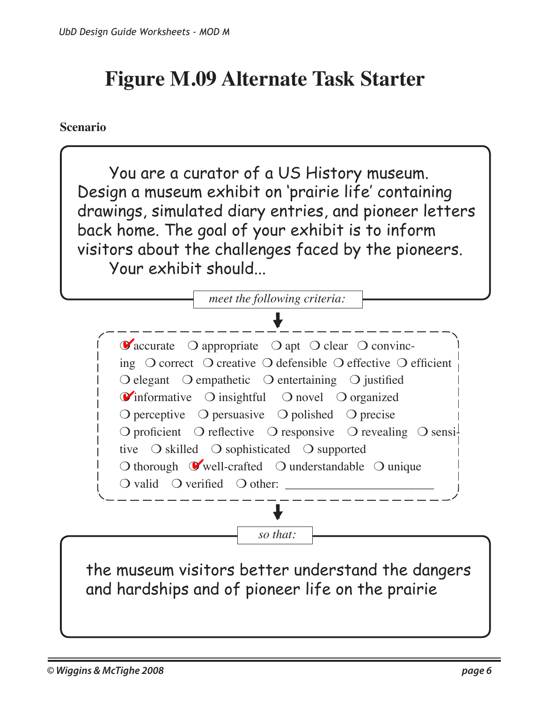# **Figure M.09 Alternate Task Starter**

#### **Scenario**

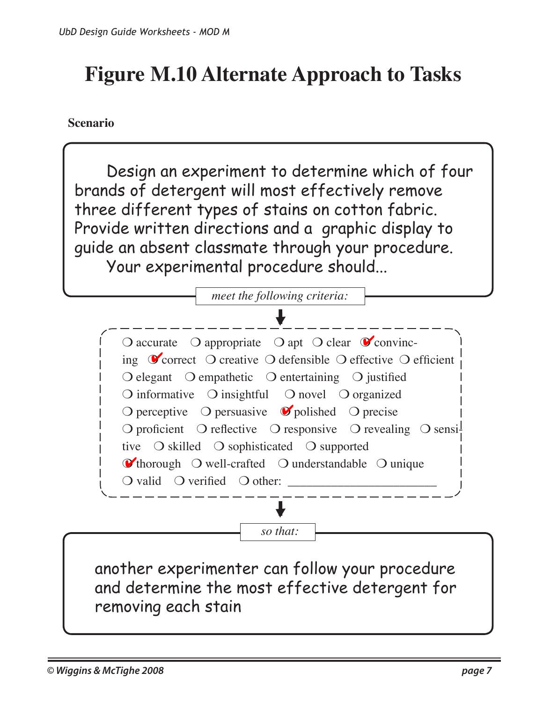# **Figure M.10 Alternate Approach to Tasks**

**Scenario**

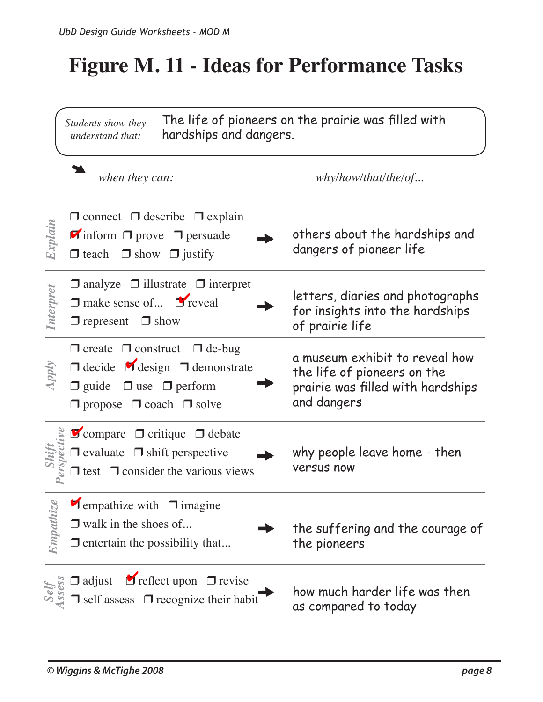# **Figure M. 11 - Ideas for Performance Tasks**

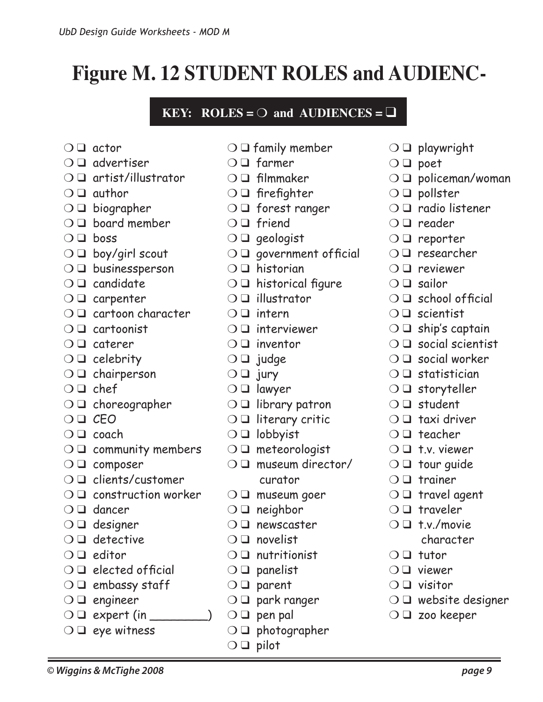**Figure M. 12 STUDENT ROLES and AUDIENC-**

- $\bigcirc$   $\Box$  actor
- $\cap$   $\Box$  advertiser
- ❍ ❑ artist/illustrator

*UbD Design Guide Worksheets - MOD M*

- $\bigcirc$   $\square$  author
- $\bigcirc$   $\square$  biographer
- $\bigcirc$   $\Box$  board member
- $\bigcirc$   $\square$  boss
- $\bigcirc$   $\Box$  boy/girl scout
- ❍ ❑ businessperson
- $\bigcirc$   $\Box$  candidate
- ❍ ❑ carpenter
- ❍ ❑ cartoon character
- ❍ ❑ cartoonist
- $\bigcirc$   $\Box$  caterer
- $\bigcirc$   $\Box$  celebrity
- $\bigcirc$   $\Box$  chairperson
- $\bigcirc$   $\Box$  chef
- ❍ ❑ choreographer
- $\bigcirc$   $\square$   $\mathcal{C}$  EO
- $\bigcirc$   $\Box$  coach
- $\bigcirc$   $\Box$  community members
- ❍ ❑ composer
- ❍ ❑ clients/customer
- $\bigcirc$   $\Box$  construction worker
- ❍ ❑ dancer
- $\bigcirc$   $\Box$  designer
- $\bigcirc$   $\Box$  detective
- $\bigcirc$   $\Box$  editor
- $\bigcirc$   $\Box$  elected official
- $\bigcirc$   $\Box$  embassy staff
- $\bigcirc$   $\Box$  engineer
- $\bigcirc$   $\square$  expert (in
- $\bigcirc$   $\square$  eye witness
- $\bigcirc$   $\square$  family member
- ❍ ❑ farmer
- ❍ ❑ filmmaker
- $\bigcirc$   $\square$  firefighter
- ❍ ❑ forest ranger
- $\bigcirc$   $\Box$  friend
- $\bigcirc$   $\square$  geologist
- $\bigcirc$   $\Box$  government official
- ❍ ❑ historian
- $\bigcirc$   $\Box$  historical figure
- $\cap$   $\square$  illustrator
- $\cap$   $\square$  intern
- $\bigcirc$   $\Box$  interviewer
- $\cap$   $\square$  inventor
- $\bigcirc$   $\Box$  judge
- $\bigcirc$   $\square$  jury
- ❍ ❑ lawyer
- ❍ ❑ library patron
- ❍ ❑ literary critic
- ❍ ❑ lobbyist
- $\bigcirc$   $\square$  meteorologist
- $\bigcirc$   $\Box$  museum director/
	- curator
- $\bigcirc$   $\square$  museum goer
- $\bigcirc$   $\Box$  neighbor
- $\bigcirc$   $\Box$  newscaster
- $\bigcirc$   $\Box$  novelist
- $\bigcirc$   $\square$  nutritionist
- $\bigcirc$   $\Box$  panelist
- $\bigcirc$   $\Box$  parent
- ❍ ❑ park ranger

*© Wiggins & McTighe 2008 page 9*

- $\bigcirc$   $\Box$  pen pal
- $\bigcirc$   $\square$  photographer
- $\bigcirc$   $\square$  pilot
- $\bigcirc$   $\square$  playwright
- $\bigcirc$   $\square$  poet
- ❍ ❑ policeman/woman
- $\bigcirc$   $\Box$  pollster
- $\bigcirc$   $\Box$  radio listener
- $\bigcirc$   $\Box$  reader
- ❍ ❑ reporter
- ❍ ❑ researcher
- ❍ ❑ reviewer
- $\bigcirc$   $\square$  sailor
- $\bigcirc$   $\Box$  school official
- $\cap$   $\Box$  scientist
- $\bigcirc$   $\Box$  ship's captain
- $\bigcirc$   $\Box$  social scientist
- $\bigcirc$   $\Box$  social worker
- $\bigcirc$   $\Box$  statistician
- $\bigcirc$   $\square$  storyteller
- $\bigcirc$   $\Box$  student
- $\bigcirc$   $\square$  taxi driver
- $\bigcirc$   $\Box$  teacher
- $\bigcirc$   $\Box$  t.v. viewer
- $\bigcirc$   $\square$  tour guide
- $\bigcirc$   $\Box$  trainer
- $\bigcirc$   $\Box$  travel agent
- $\bigcirc$   $\Box$  traveler
- $\bigcirc$   $\Box$  t.v./movie character
- $\bigcirc$   $\Box$  tutor
- ❍ ❑ viewer
- $\bigcirc$   $\square$  visitor
- $\bigcirc$   $\Box$  website designer
- ❍ ❑ zoo keeper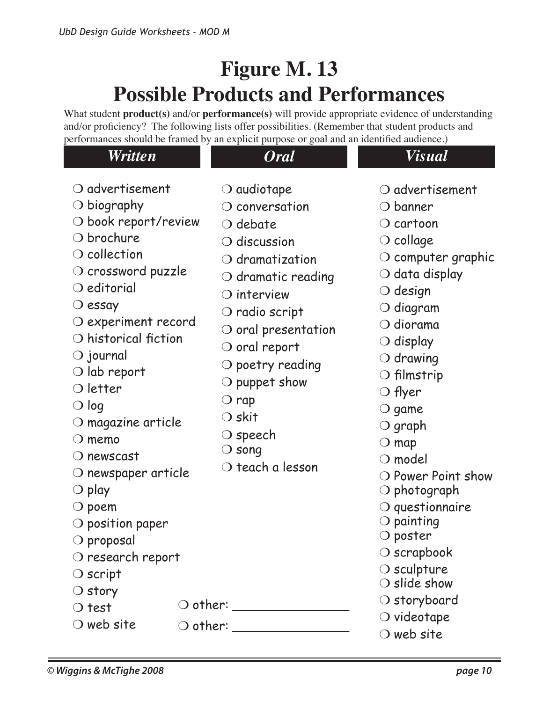# **Figure M. 13 Possible Products and Performances**

What student **product(s)** and/or **performance(s)** will provide appropriate evidence of understanding and/or proficiency? The following lists offer possibilities. (Remember that student products and performances should be framed by an explicit purpose or goal and an identified audience.)

|                                                                                                                                                                                                                                                                                                                                                                                                                                                                                                                                                                                                                                                                  | performances should be framed by an explicit purpose or goal and an identified addictive.)                                                                                                                                                                                                                                                                                                                                                                          |                                                                                                                                                                                                                                                                                                                                                                                                                                                                                                                                                                                                          |
|------------------------------------------------------------------------------------------------------------------------------------------------------------------------------------------------------------------------------------------------------------------------------------------------------------------------------------------------------------------------------------------------------------------------------------------------------------------------------------------------------------------------------------------------------------------------------------------------------------------------------------------------------------------|---------------------------------------------------------------------------------------------------------------------------------------------------------------------------------------------------------------------------------------------------------------------------------------------------------------------------------------------------------------------------------------------------------------------------------------------------------------------|----------------------------------------------------------------------------------------------------------------------------------------------------------------------------------------------------------------------------------------------------------------------------------------------------------------------------------------------------------------------------------------------------------------------------------------------------------------------------------------------------------------------------------------------------------------------------------------------------------|
| Written                                                                                                                                                                                                                                                                                                                                                                                                                                                                                                                                                                                                                                                          | <b>Oral</b>                                                                                                                                                                                                                                                                                                                                                                                                                                                         | <b>Visual</b>                                                                                                                                                                                                                                                                                                                                                                                                                                                                                                                                                                                            |
| $\bigcirc$ advertisement<br>$\bigcirc$ biography<br>$\bigcirc$ book report/review<br>$\bigcirc$ brochure<br>$\bigcirc$ collection<br>$\bigcirc$ crossword puzzle<br>$\bigcirc$ editorial<br>$\bigcirc$ essay<br>$\bigcirc$ experiment record<br>$\bigcirc$ historical fiction<br>$\bigcirc$ journal<br>$\bigcirc$ lab report<br>$\bigcirc$ letter<br>$\bigcirc$ log<br>$\bigcirc$ magazine article<br>$\bigcirc$ memo<br>$\bigcirc$ newscast<br>$\bigcirc$ newspaper article<br>$\bigcirc$ play<br>$\bigcirc$ poem<br>$\bigcirc$ position paper<br>$\bigcirc$ proposal<br>$\bigcirc$ research report<br>$\bigcirc$ script<br>$\bigcirc$ story<br>$\bigcirc$ test | $\bigcirc$ audiotape<br>$\bigcirc$ conversation<br>$\bigcirc$ debate<br>$\bigcirc$ discussion<br>$\bigcirc$ dramatization<br>$\bigcirc$ dramatic reading<br>$\bigcirc$ interview<br>$\bigcirc$ radio script<br>$\bigcirc$ oral presentation<br>$\bigcirc$ oral report<br>$\bigcirc$ poetry reading<br>$\bigcirc$ puppet show<br>$\bigcirc$ rap<br>$\bigcirc$ skit<br>$\bigcirc$ speech<br>$\bigcirc$ song<br>$\bigcirc$ teach a lesson<br>O other: ________________ | $\bigcirc$ advertisement<br>$\bigcirc$ banner<br>$\bigcirc$ cartoon<br>$\bigcirc$ collage<br>$\circlearrowleft$ computer graphic<br>$\bigcirc$ data display<br>$\bigcirc$ design<br>$\bigcirc$ diagram<br>$\bigcirc$ diorama<br>$\bigcirc$ display<br>$\bigcirc$ drawing<br>$\bigcirc$ filmstrip<br>O flyer<br>$\bigcirc$ game<br>$\bigcirc$ graph<br>$\bigcirc$ map<br>$\bigcirc$ model<br>O Power Point show<br>$\bigcirc$ photograph<br>$\bigcirc$ questionnaire<br>$\bigcirc$ painting<br>○ poster<br>$\bigcirc$ scrapbook<br>$\bigcirc$ sculpture<br>$\bigcirc$ slide show<br>$\bigcirc$ storyboard |
| $\bigcirc$ web site                                                                                                                                                                                                                                                                                                                                                                                                                                                                                                                                                                                                                                              |                                                                                                                                                                                                                                                                                                                                                                                                                                                                     | $\bigcirc$ videotape<br>$\bigcirc$ web site                                                                                                                                                                                                                                                                                                                                                                                                                                                                                                                                                              |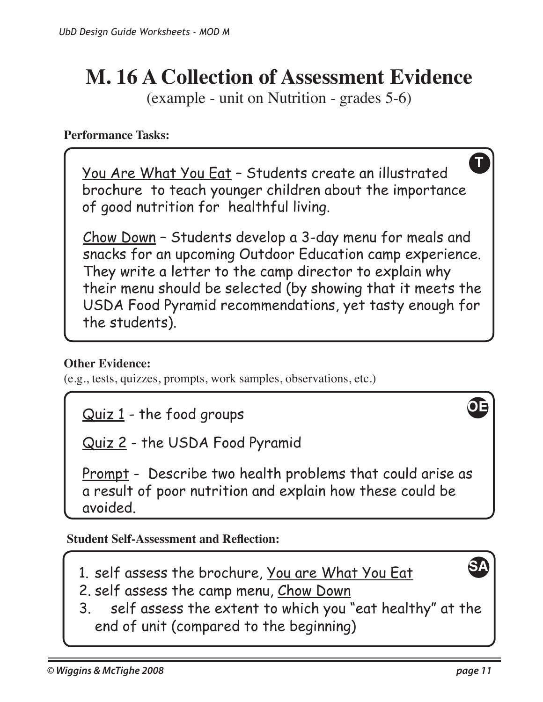# **M. 16 A Collection of Assessment Evidence**

(example - unit on Nutrition - grades 5-6)

#### **Performance Tasks:**

You Are What You Eat – Students create an illustrated brochure to teach younger children about the importance of good nutrition for healthful living.

Chow Down – Students develop a 3-day menu for meals and snacks for an upcoming Outdoor Education camp experience. They write a letter to the camp director to explain why their menu should be selected (by showing that it meets the USDA Food Pyramid recommendations, yet tasty enough for the students).

#### **Other Evidence:**

(e.g., tests, quizzes, prompts, work samples, observations, etc.)

Quiz 1 - the food groups

Quiz 2 - the USDA Food Pyramid

Prompt - Describe two health problems that could arise as a result of poor nutrition and explain how these could be avoided.

#### **Student Self-Assessment and Reflection:**

- 1. self assess the brochure, You are What You Eat
- 2. self assess the camp menu, Chow Down
- 3. self assess the extent to which you "eat healthy" at the end of unit (compared to the beginning)

**SA**

**T**

**OE**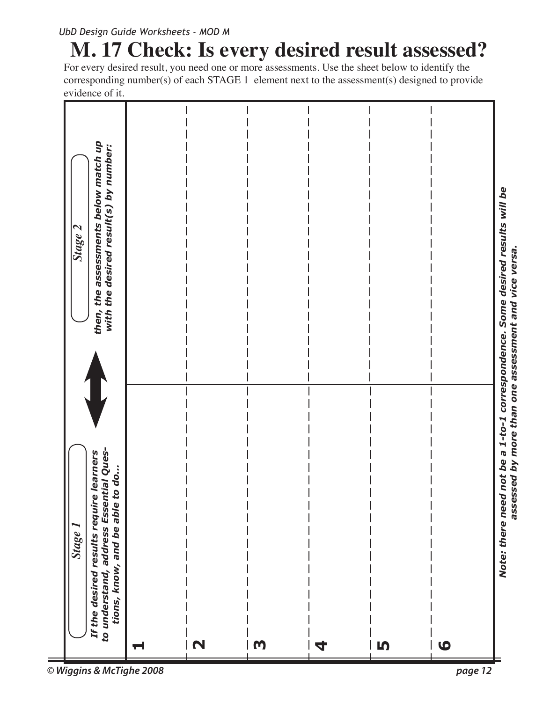# **M. 17 Check: Is every desired result assessed?**

For every desired result, you need one or more assessments. Use the sheet below to identify the corresponding number(s) of each STAGE 1 element next to the assessment(s) designed to provide evidence of it.

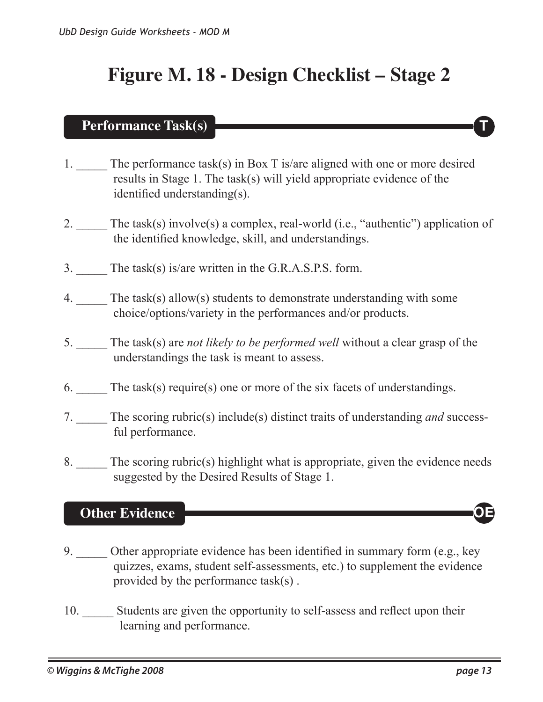## **Figure M. 18 - Design Checklist – Stage 2**

#### **Performance Task(s)**

- 1. The performance task(s) in Box T is/are aligned with one or more desired results in Stage 1. The task(s) will yield appropriate evidence of the identified understanding(s).
- 2. The task(s) involve(s) a complex, real-world (i.e., "authentic") application of the identified knowledge, skill, and understandings.
- 3. The task(s) is/are written in the G.R.A.S.P.S. form.
- 4. The task(s) allow(s) students to demonstrate understanding with some choice/options/variety in the performances and/or products.
- 5. \_\_\_\_\_ The task(s) are *not likely to be performed well* without a clear grasp of the understandings the task is meant to assess.
- 6. The task(s) require(s) one or more of the six facets of understandings.
- 7. \_\_\_\_\_ The scoring rubric(s) include(s) distinct traits of understanding *and* success ful performance.
- 8. The scoring rubric(s) highlight what is appropriate, given the evidence needs suggested by the Desired Results of Stage 1.

#### **Other Evidence OE**

- 9. \_\_\_\_\_ Other appropriate evidence has been identified in summary form (e.g., key quizzes, exams, student self-assessments, etc.) to supplement the evidence provided by the performance task(s) .
- 10. \_\_\_\_\_ Students are given the opportunity to self-assess and reflect upon their learning and performance.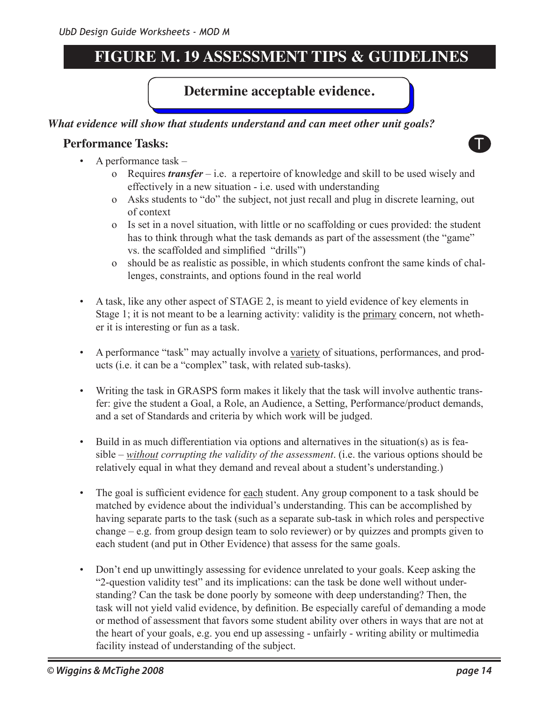## **FIGURE M. 19 ASSESSMENT TIPS & GUIDELINES**

#### **Determine acceptable evidence.**

#### *What evidence will show that students understand and can meet other unit goals?*

#### **Performance Tasks:** The state of the state of the state of the state of the state of the state of the state of the state of the state of the state of the state of the state of the state of the state of the state of the st



- A performance task
	- o Requires *transfer* i.e. a repertoire of knowledge and skill to be used wisely and effectively in a new situation - i.e. used with understanding
	- o Asks students to "do" the subject, not just recall and plug in discrete learning, out of context
	- o Is set in a novel situation, with little or no scaffolding or cues provided: the student has to think through what the task demands as part of the assessment (the "game" vs. the scaffolded and simplified "drills")
	- o should be as realistic as possible, in which students confront the same kinds of challenges, constraints, and options found in the real world
- A task, like any other aspect of STAGE 2, is meant to yield evidence of key elements in Stage 1; it is not meant to be a learning activity: validity is the primary concern, not whether it is interesting or fun as a task.
- A performance "task" may actually involve a variety of situations, performances, and products (i.e. it can be a "complex" task, with related sub-tasks).
- Writing the task in GRASPS form makes it likely that the task will involve authentic transfer: give the student a Goal, a Role, an Audience, a Setting, Performance/product demands, and a set of Standards and criteria by which work will be judged.
- Build in as much differentiation via options and alternatives in the situation(s) as is feasible – *without corrupting the validity of the assessment*. (i.e. the various options should be relatively equal in what they demand and reveal about a student's understanding.)
- The goal is sufficient evidence for each student. Any group component to a task should be matched by evidence about the individual's understanding. This can be accomplished by having separate parts to the task (such as a separate sub-task in which roles and perspective change – e.g. from group design team to solo reviewer) or by quizzes and prompts given to each student (and put in Other Evidence) that assess for the same goals.
- Don't end up unwittingly assessing for evidence unrelated to your goals. Keep asking the "2-question validity test" and its implications: can the task be done well without understanding? Can the task be done poorly by someone with deep understanding? Then, the task will not yield valid evidence, by definition. Be especially careful of demanding a mode or method of assessment that favors some student ability over others in ways that are not at the heart of your goals, e.g. you end up assessing - unfairly - writing ability or multimedia facility instead of understanding of the subject.